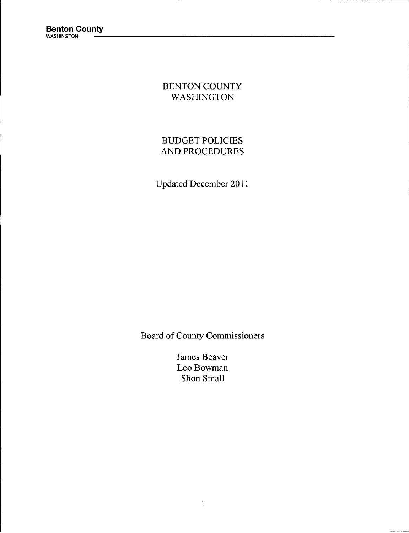# **BENTON COUNTY WASHINGTON**

# **BUDGET POLICIES AND PROCEDURES**

**Updated December 2011**

**Board of County Commissioners**

**James Beaver Leo Bowman Shon Small**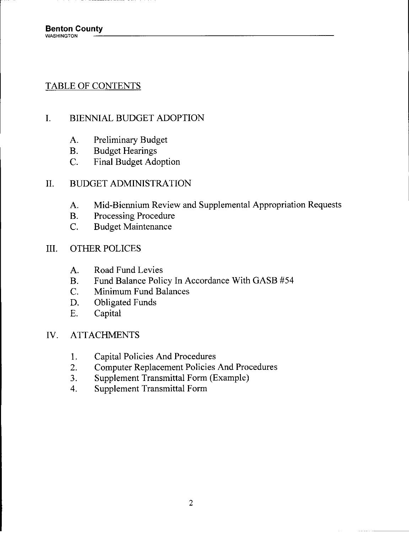# **TABLE OF CONTENTS**

# **I. BIENNIAL BUDGET ADOPTION**

- **A. Preliminary Budget**
- **B. Budget Hearings**
- **C. Final Budget Adoption**

# **II. BUDGET ADMINISTRATION**

- **A. Mid-Biennium Review and Supplemental Appropriation Requests**
- **B. Processing Procedure**
- **C. Budget Maintenance**

# **III. OTHER POLICES**

- **A. Road Fund Levies**
- **B. Fund Balance Policy In Accordance With GASB #54**
- **C. Minimum Fund Balances**
- **D. Obligated Funds**
- **E. Capital**

# **IV. ATTACHMENTS**

- **1. Capital Policies And Procedures**
- **2. Computer Replacement Policies And Procedures**
- **3. Supplement Transmittal Form (Example)**
- **4. Supplement Transmittal Form**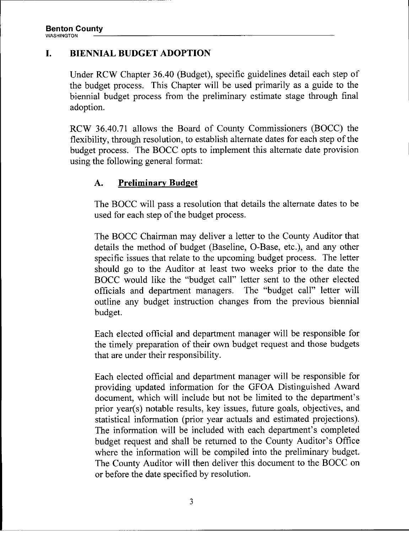# **I. BIENNIAL BUDGET ADOPTION**

**Under RCW Chapter 36.40 (Budget), specific guidelines detail each step of the budget process. This Chapter will be used primarily as <sup>a</sup> guide to the biennial budget process from the preliminary estimate stage through final adoption.**

**RCW 36.40.71 allows the Board of County Commissioners (BOCC) the flexibility,through resolution, to establish alternate dates for each step of the budget process. The BOCC opts to implement this alternate date provision using the following general format:**

# **A. Preliminary Budget**

**The BOCC will pass a resolution that details the alternate dates to be used for each step of the budget process.**

**The BOCC** Chairman may deliver a letter to the County Auditor that **details the method of budget (Baseline, O-Base, etc.),and any other specific issues that relate to the upcoming budget process. The letter should go to the Auditor at least two weeks prior to the date the BOCC would like the "budget call" letter sent to the other elected officials** and department managers. **outline any budget instruction changes from the previous biennial budget.**

**Each elected official and department manager will be responsible for the timely preparation of their own budget request and those budgets that are under their responsibility.**

**Each elected official and department manager will be responsible for providing updated information for the GFOA Distinguished Award document, which will include but not be limited to the department's prior year(s) notable results, key issues, future goals, objectives, and statisticalinformation (prior year actuals and estimated projections). The information will be included with each department's completed budget request and shall be returned to the County Auditor's Office where the information will be compiled into the preliminary budget. The County Auditor will then deliver this document to the BOCC on or before the date specified by resolution.**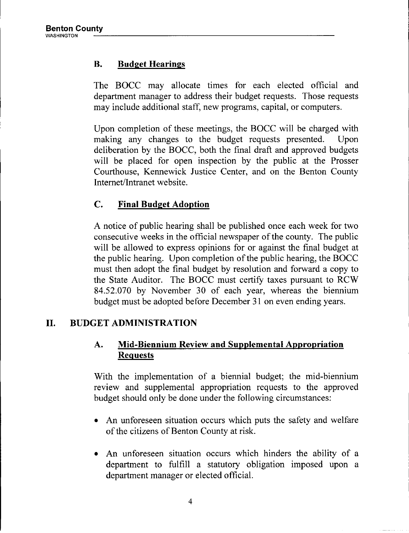# **B. Budget Hearings**

**The BOCC may allocate times for each elected official and department manager to address their budget requests. Those requests may include additional staff,new programs, capital,or computers.**

**Upon completion of these meetings, the BOCC will be charged with making** any changes to the budget requests presented. **deliberation by the BOCC, both the final draft and approved budgets will be placed for open inspection by the public at the Prosser Courthouse, Kennewick Justice Center, and on the Benton County Internet/Intranet website.**

# **C. Final Budget Adoption**

**A notice of public hearing shall be published once each week for two consecutive weeks in the officialnewspaper of the county. The public will be allowed to express opinions for or against the final budget at the public hearing. Upon completion of the public hearing, the BOCC must then adopt the final budget by resolution and forward a copy to the State Auditor. The BOCC must certify taxes pursuant to RCW 84.52.070 by November 30 of each year, whereas the biennium budget must be adopted before December 31 on even ending years.**

# **II. BUDGET ADMINISTRATION**

# **A. Mid-Biennium Review and Supplemental Appropriation Requests**

**With the implementation of a biennial budget; the mid-biennium review and supplemental appropriation requests to the approved budget should only be done under the following circumstances:**

- **\* An unforeseen situation occurs which puts the safety and welfare of the citizens of Benton County at risk.**
- **\* An unforeseen situation occurs which hinders the ability of <sup>a</sup> department to fulfill a statutory obligation imposed upon a department manager or elected official.**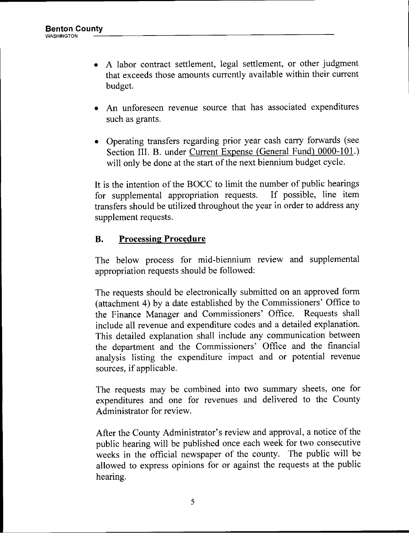- **\* A labor contract settlement, legal settlement, or other judgment that exceeds those amounts currently available within their current budget.**
- **\* An unforeseen revenue source that has associated expenditures such as grants.**
- **\* Operating transfers regarding prior year cash carry forwards (see Section III.B. under Current Expense (General Fund) 0000-101.) will only be done at the startof the next biennium budget cycle.**

**It is the intention of the BOCC to limit the number of public hearings for** supplemental appropriation requests. **transfers should be utilized throughout the year in order to address any supplement requests.**

# **B. Processing Procedure**

**The below process for mid-biennium review and supplemental appropriation requests should be followed:**

**The requests should be electronically submitted on an approved form (attachment 4) by <sup>a</sup> date established by the Commissioners' Office to the Finance Manager and Commissioners' Office. Requests shall include all revenue and expenditure codes and <sup>a</sup> detailed explanation. This detailed explanation shall include any communication between the department and the Commissioners' Office and the financial analysis listing the expenditure impact and or potential revenue sources, ifapplicable.**

**The requests may be combined into two summary sheets, one for expenditures and one for revenues and delivered to the County Administrator for review.**

**After the County Administrator's review and approval, <sup>a</sup> notice of the public hearing will be published once each week for two consecutive weeks in the official newspaper of the county. The public will be allowed to express opinions for or against the requests at the public hearing.**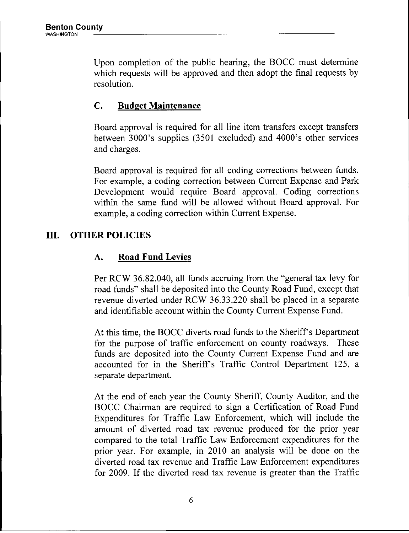**Upon completion of the public hearing, the BOCC must determine which requests will be approved and then adopt the final requests by resolution.**

# **C. Budget Maintenance**

**Board approval is required for all line item transfers except transfers between 3000's supplies (3501 excluded) and 4000's other services and charges.**

**Board approval is required for all coding corrections between funds. For example, a coding correction between Current Expense and Park Development would require Board approval. Coding corrections within the same fund will be allowed without Board approval. For example, a coding correction within Current Expense.**

# **III. OTHER POLICIES**

# **A. Road Fund Levies**

**Per RCW 36.82.040, all funds accruing from the "general tax levy for road funds" shall be deposited into the County Road Fund, except that revenue diverted under RCW 36.33.220 shall be placed in a separate and identifiable account within the County Current Expense Fund.**

**At this time, the BOCC diverts road funds to the Sheriff s Department for the purpose of traffic enforcement on county roadways. These funds are deposited into the County Current Expense Fund and are accounted for in the Sheriffs Traffic Control Department 125, a separate department.**

**At the end of each year the County Sheriff, County Auditor, and the BOCC Chairman are required to sign a Certification of Road Fund Expenditures for Traffic Law Enforcement, which will include the amount of diverted road tax revenue produced for the prior year compared to the total Traffic Law Enforcement expenditures for the prior year. For example, in 2010 an analysis will be done on the diverted road tax revenue and Traffic Law Enforcement expenditures for 2009. If the diverted road tax revenue is greater than the Traffic**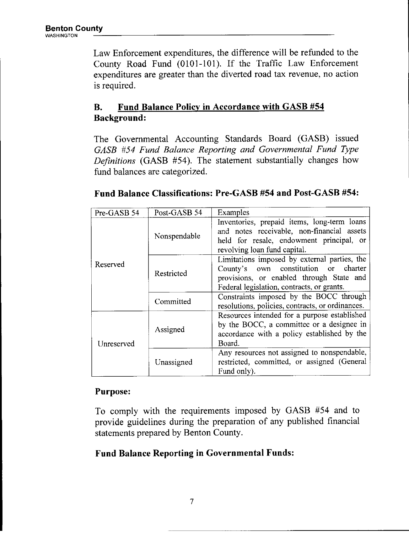**Law Enforcement expenditures, the difference will be refunded to the County Road Fund (0101-101). If the Traffic Law Enforcement expenditures are greater than the diverted road tax revenue, no action is required.**

# **B. Fund Balance Policy in Accordance with GASB #54 Background:**

**The Governmental Accounting Standards Board (GASB) issued GASB #54 Fund Balance Reporting and Governmental Fund Type Definitions (GASB #54). The statement substantially changes how fund balances are categorized.**

| Pre-GASB 54 | Post-GASB 54 | Examples                                                                                                                                                                       |  |
|-------------|--------------|--------------------------------------------------------------------------------------------------------------------------------------------------------------------------------|--|
| Reserved    | Nonspendable | Inventories, prepaid items, long-term loans<br>and notes receivable, non-financial assets<br>held for resale, endowment principal, or<br>revolving loan fund capital.          |  |
|             | Restricted   | Limitations imposed by external parties, the<br>County's own constitution or charter<br>provisions, or enabled through State and<br>Federal legislation, contracts, or grants. |  |
|             | Committed    | Constraints imposed by the BOCC through<br>resolutions, policies, contracts, or ordinances.                                                                                    |  |
| Unreserved  | Assigned     | Resources intended for a purpose established<br>by the BOCC, a committee or a designee in<br>accordance with a policy established by the<br>Board.                             |  |
|             | Unassigned   | Any resources not assigned to nonspendable,<br>restricted, committed, or assigned (General<br>Fund only).                                                                      |  |

# **Fund Balance Classifications: Pre-GASB #54 and Post-GASB #54:**

# **Purpose:**

**To comply with the requirements imposed by GASB #54 and to provide guidelines during the preparation of any published financial statements prepared by Benton County.**

# **Fund Balance Reporting in Governmental Funds:**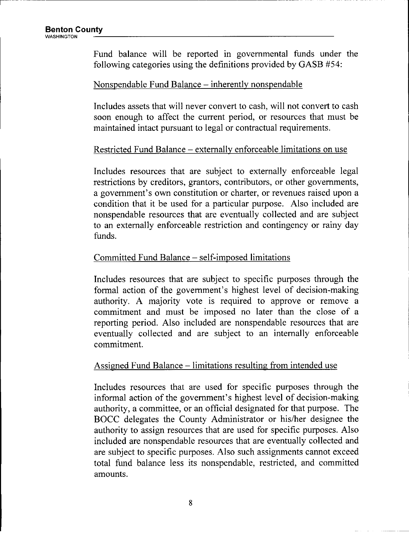**Fund balance will be reported in governmental funds under the following categories using the definitions provided by GASB #54:**

#### **Nonspendable Fund Balance - inherently nonspendable**

**Includes assets that will never convert to cash, will not convert to cash soon enough to affect the current period, or resources that must be maintained intact pursuant to legal or contractual requirements.**

# **Restricted Fund Balance - externally enforceable limitations on use**

**Includes resources that are subject to externally enforceable legal restrictions by creditors, grantors, contributors, or other governments, a government's own constitution or charter, or revenues raised upon a condition that it be used for a particular purpose. Also included are nonspendable resources that are eventually collected and are subject to an externally enforceable restriction and contingency or rainy day funds.**

# **Committed Fund Balance - self-imposed limitations**

**Includes resources that are subject to specific purposes through the formal action of the government's highest level of decision-making authority. A majority vote is required to approve or remove a commitment and must be imposed no later than the close of a reporting period. Also included are nonspendable resources that are eventually collected and are subject to an internally enforceable commitment.**

# **Assigned Fund Balance - limitations resulting from intended use**

**Includes resources that are used for specific purposes through the informal action of the government's highest level of decision-making authority, <sup>a</sup> committee, or an officialdesignated for that purpose. The BOCC delegates the County Administrator or his/her designee the authority to assign resources that are used for specific purposes. Also included are nonspendable resources that are eventually collected and are subject to specific purposes. Also such assignments cannot exceed total fund balance less its nonspendable, restricted, and committed amounts.**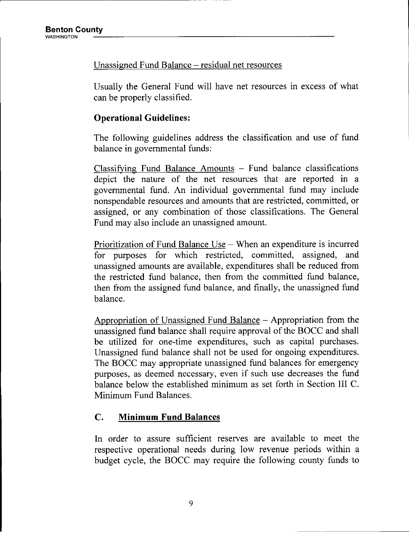**Unassigned Fund Balance - residual net resources**

**Usually the General Fund will have net resources in excess of what can be properly classified.**

# **Operational Guidelines:**

**The following guidelines address the classification and use of fund balance in governmental funds:**

**Classifying Fund Balance Amounts - Fund balance classifications depict the nature of the net resources that are reported in a governmental fund. An individual governmental fund may include nonspendable resources and amounts that are restricted,committed, or assigned, or any combination of those classifications. The General Fund may also include an unassigned amount.**

**Prioritization of Fund Balance Use - When an expenditure is incurred for purposes for which restricted, committed, assigned, and unassigned amounts are available, expenditures shall be reduced from the restricted fund balance, then from the committed fund balance, then from the assigned fund balance, and finally,the unassigned fund balance.**

**Appropriation of Unassigned Fund Balance - Appropriation from the unassigned fund balance shall require approval of the BOCC and shall be utilized for one-time expenditures, such as capital purchases. Unassigned fund balance shall not be used for ongoing expenditures. The BOCC may appropriate unassigned fund balances for emergency purposes, as deemed necessary, even if such use decreases the fund balance below the established minimum as set forth in Section III C. Minimum Fund Balances.**

# **C. Minimum Fund Balances**

**In order to assure sufficient reserves are available to meet the respective operational needs during low revenue periods within a budget cycle, the BOCC may require the following county funds to**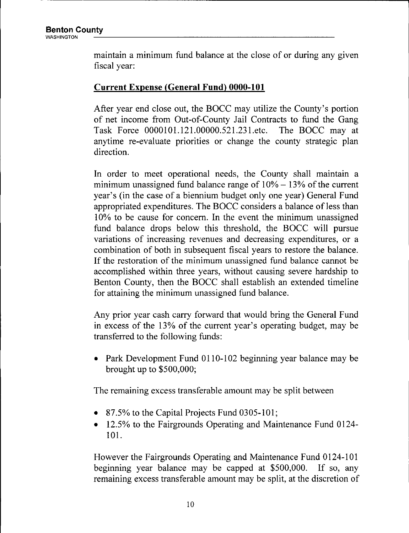**maintain a minimum fund balance at the close of or during any given** fiscal year:

# **Current Expense (General Fund) 0000-101**

**After year end close out, the BOCC may utilize the County's portion of net income from Out-of-County Jail Contracts to fund the Gang Task Force**  $0000101.121.00000.521.231.$ etc. **anytime re-evaluate priorities or change the county strategic plan direction.**

**In order to meet operational needs, the County shall maintain a minimum unassigned fund balance range of 10% - 13% of the current year's (in the case of a biennium budget only one year) General Fund appropriated expenditures. The BOCC considers a balance of less than 10% to be cause for concern. In the event the minimum unassigned fund balance drops below this threshold, the BOCC will pursue variations of increasing revenues and decreasing expenditures, or a combination of both in subsequent fiscal years to restore the balance. If the restoration of the minimum unassigned fund balance cannot be accomplished within three years, without causing severe hardship to Benton County, then the BOCC shall establish an extended timeline for attaining the minimum unassigned fund balance.**

**Any prior year cash carry forward that would bring the General Fund in excess of the 13% of the current year's operating budget, may be transferred to the following funds:**

**\* Park Development Fund 0110-102 beginning year balance may be brought up to \$500,000;**

**The remaining excess transferable amount may be splitbetween**

- **\* 87.5% to the Capital Projects Fund 0305-101;**
- **\* 12.5% to the Fairgrounds Operating and Maintenance Fund 0124- 101.**

**However the Fairgrounds Operating and Maintenance Fund 0124-101 beginning year balance may be capped at \$500,000. If so, any remaining excess transferable amount may be split,at the discretion of**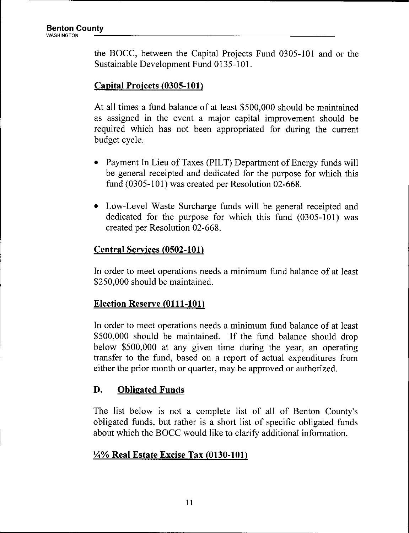**the BOCC, between the Capital Projects Fund 0305-101 and or the Sustainable Development Fund 0135-101.**

# **Capital Projects (0305-101)**

**At all times a fund balance of at least \$500,000 should be maintained as assigned in the event <sup>a</sup> major capital improvement should be required which has not been appropriated for during the current budget cycle.**

- **\* Payment In Lieu of Taxes (PILT) Department of Energy funds will be general receipted and dedicated for the purpose for which this fund (0305-101) was created per Resolution 02-668.**
- **\* Low-Level Waste Surcharge funds will be general receipted and dedicated for the purpose for which this fund (0305-101) was created per Resolution 02-668.**

# **Central Services (0502-101)**

**In order to meet operations needs a minimum fund balance of at least \$250,000 should be maintained.**

# **Election Reserve (0111-101)**

**In order to meet operations needs a minimum fund balance of at least \$500,000 should be maintained. If the fund balance should drop below \$500,000 at any given time during the year, an operating transfer to the fund, based on a report of actual expenditures from either the prior month or quarter, may be approved or authorized.**

# **D. Obligated Funds**

**The list below is not <sup>a</sup> complete list of all of Benton County's obligated funds, but rather is a short listof specific obligated funds about which the BOCC would like to clarify additional information.**

# **%% Real Estate Excise Tax (0130-101)**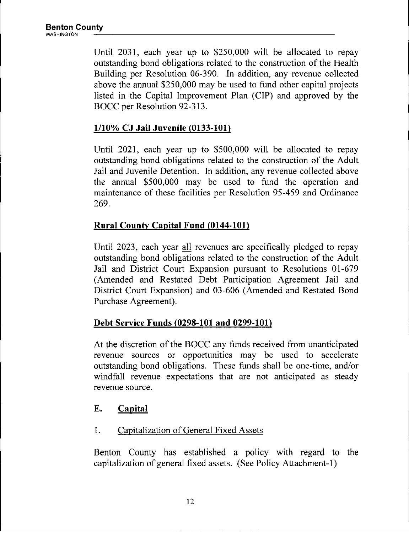**Until 2031, each year up to \$250,000 will be allocated to repay outstanding bond obligations related to the construction of the Health Building per Resolution 06-390. In addition, any revenue collected above the annual \$250,000 may be used to fund other capital projects listed in the Capital Improvement Plan (CIP) and approved by the BOCC per Resolution 92-313.**

# **1/10% CJ Jail Juvenile (0133-101)**

**Until 2021, each year up to \$500,000 will be allocated to repay outstanding bond obligations related to the construction of the Adult Jail and Juvenile Detention. In addition, any revenue collected above the annual \$500,000 may be used to fund the operation and maintenance of these facilitiesper Resolution 95-459 and Ordinance 269.**

# **Rural County Capital Fund (0144-101)**

**Until 2023, each year all revenues are specifically pledged to repay outstanding bond obligations related to the construction of the Adult Jail and District Court Expansion pursuant to Resolutions 01-679 (Amended and Restated Debt Participation Agreement Jail and District Court Expansion) and 03-606 (Amended and Restated Bond Purchase Agreement).**

# **Debt Service Funds (0298-101 and 0299-101)**

**At the discretion of the BOCC any funds received from unanticipated revenue sources or opportunities may be used to accelerate outstanding bond obligations. These funds shall be one-time, and/or windfall revenue expectations that are not anticipated as steady revenue source.**

# **E. Capital**

# **1. Capitalization of General Fixed Assets**

**Benton County has established a policy with regard to the capitalization of general fixed assets. (See Policy Attachment-1)**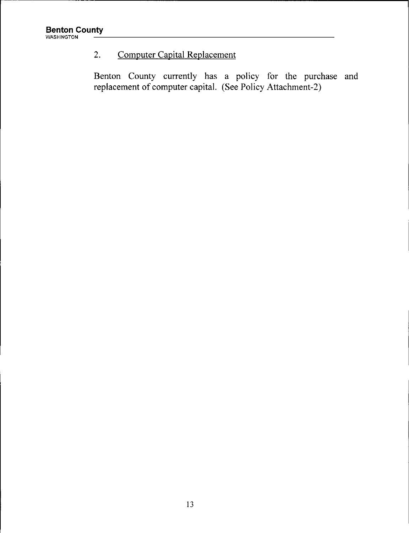# **2. Computer Capital Replacement**

**Benton County currently has a policy for the purchase and replacement of computer capital. (See Policy Attachment-2)**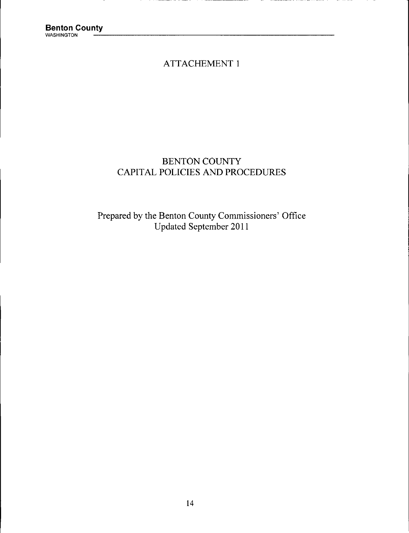# **ATTACHEMENT 1**

# **BENTON COUNTY CAPITAL POLICIES AND PROCEDURES**

**Prepared by the Benton County Commissioners' Office Updated September 2011**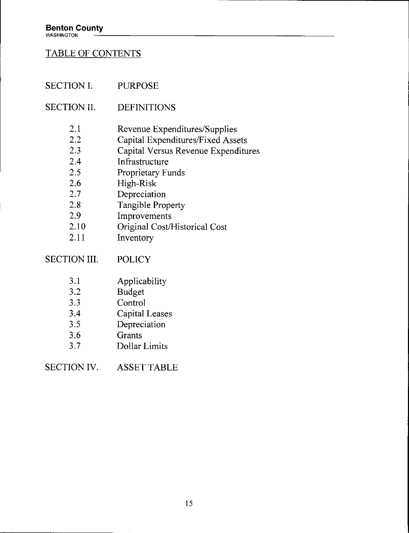# **TABLE OF CONTENTS**

| <b>SECTION I.</b>   | <b>PURPOSE</b>                     |  |
|---------------------|------------------------------------|--|
| <b>SECTION II.</b>  | <b>DEFINITIONS</b>                 |  |
| 2.1                 | Revenue Expenditures/Supplies      |  |
| 2.2                 | Capital Expenditures/Fixed Assets  |  |
| 2.3                 | Capital Versus Revenue Expenditure |  |
| 2.4                 | Infrastructure                     |  |
| 2.5                 | <b>Proprietary Funds</b>           |  |
| 2.6                 | High-Risk                          |  |
| 2.7                 | Depreciation                       |  |
| 2.8                 | <b>Tangible Property</b>           |  |
| 2.9                 | Improvements                       |  |
| 2.10                | Original Cost/Historical Cost      |  |
| 2.11                | Inventory                          |  |
| <b>SECTION III.</b> | <b>POLICY</b>                      |  |
| 3.1                 | Applicability                      |  |
| 3.2                 | <b>Budget</b>                      |  |
| 3.3                 | Control                            |  |
| 3.4                 | <b>Capital Leases</b>              |  |
| 3.5                 | Depreciation                       |  |
| 3.6                 | Grants                             |  |

**3.7 Dollar Limits**

**SECTION IV. ASSET TABLE**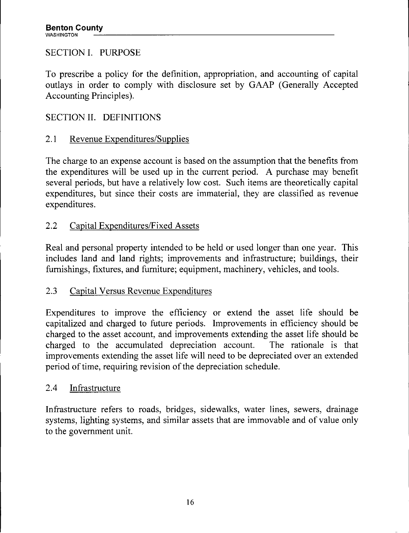# **SECTION I. PURPOSE**

**To prescribe a policy for the definition, appropriation, and accounting of capital outlays in order to comply with disclosure set by GAAP (Generally Accepted Accounting Principles).**

# **SECTION II. DEFINITIONS**

# **2.1 Revenue Expenditures/Supplies**

**The charge to an expense account is based on the assumption that the benefits from the expenditures will be used up in the current period. A purchase may benefit several periods, but have a relatively low cost. Such items are theoretically capital expenditures, but since their costs are immaterial, they are classified as revenue expenditures.**

# **2.2 Capital Expenditures/Fixed Assets**

**Real and personal property intended to be held or used longer than one year. This includes land and land rights; improvements and infrastructure; buildings, their furnishings, fixtures,and furniture; equipment, machinery, vehicles, and tools.**

# **2.3 Capital Versus Revenue Expenditures**

**Expenditures to improve the efficiency or extend the asset life should be capitalized and charged to future periods. Improvements in efficiency should be charged to the asset account, and improvements extending the asset lifeshould be charged to** the accumulated depreciation account. **improvements extending the asset lifewill need to be depreciated over an extended period of time, requiring revision of the depreciation schedule.**

# **2.4 Infrastructure**

**Infrastructure refers to roads, bridges, sidewalks, water lines, sewers, drainage systems, lighting systems, and similar assets that are immovable and of value only to the government unit.**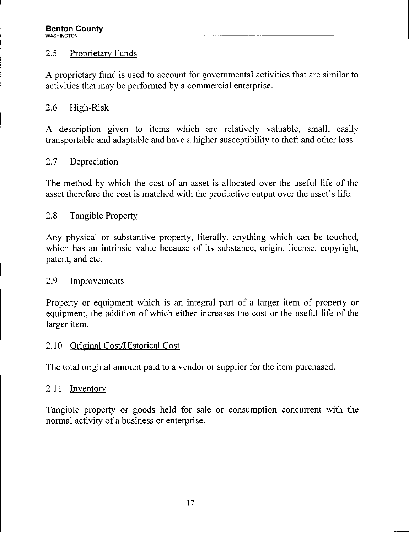#### **2.5 Proprietary Funds**

**A proprietary fund is used to account for governmental activitiesthat are similar to activitiesthat may be performed by a commercial enterprise.**

# **2.6 High-Risk**

**A description given to items which are relatively valuable, small, easily transportable and adaptable and have a higher susceptibility to theft and other loss.**

#### **2.7 Depreciation**

**The method by which the cost of an asset is allocated over the useful life of the asset therefore the cost is matched with the productive output over the asset's life.**

# **2.8 Tangible Property**

**Any physical or substantive property, literally,anything which can be touched, which has an intrinsic value because of its substance, origin, license, copyright, patent, and etc.**

#### **2.9 Improvements**

**Property or equipment which is an integral part of a larger item of property or equipment, the addition of which either increases the cost or the useful life of the larger item.**

#### **2.10 Original Cost/Historical Cost**

**The total original amount paid to a vendor or supplier for the item purchased.**

#### **2.11 Inventory**

**Tangible property or goods held for sale or consumption concurrent with the normal activity of a business or enterprise.**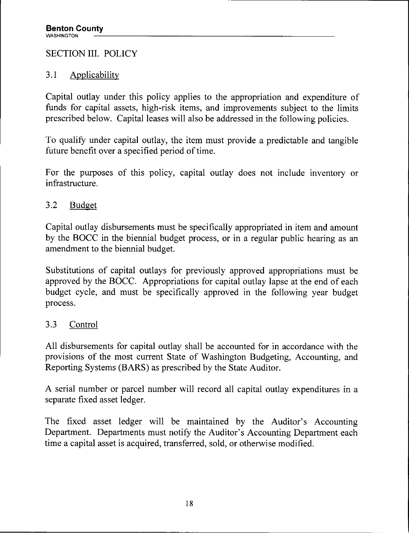# **SECTION III. POLICY**

#### **3.1 Applicability**

**Capital outlay under this policy applies to the appropriation and expenditure of funds for capital assets, high-risk items, and improvements subject to the limits prescribed below. Capital leases will also be addressed in the following policies.**

**To qualify under capital outlay, the item must provide <sup>a</sup> predictable and tangible future benefit over a specified period of time.**

**For the purposes of this policy, capital outlay does not include inventory or infrastructure.**

# **3.2 Budget**

**Capital outlay disbursements must be specifically appropriated in item and amount by the BOCC in the biennial budget process, or in <sup>a</sup> regular public hearing as an amendment to the biennial budget.**

**Substitutions of capital outlays for previously approved appropriations must be approved by the BOCC. Appropriations for capital outlay lapse at the end of each budget cycle, and must be specifically approved in the following year budget process.**

# **3.3 Control**

**All disbursements for capital outlay shall be accounted for in accordance with the provisions of the most current State of Washington Budgeting, Accounting, and Reporting Systems (BARS) as prescribed by the State Auditor.**

**<sup>A</sup> serial number or parcel number will record all capital outlay expenditures in <sup>a</sup> separate fixed asset ledger.**

**The fixed asset ledger will be maintained by the Auditor's Accounting Department. Departments must notify the Auditor's Accounting Department each time a capital asset is acquired, transferred, sold, or otherwise modified.**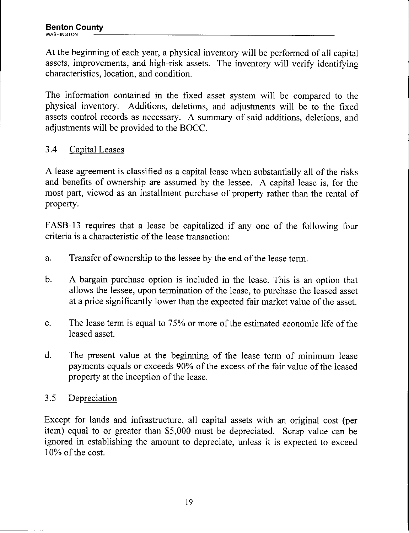**At the beginning of each year, <sup>a</sup> physical inventory will be performed of all capital assets, improvements, and high-risk assets. The inventory will verify identifying characteristics,location, and condition.**

**The information contained in the fixed asset system will be compared to the physical inventory. Additions, deletions, and adjustments will be to the fixed assets control records as necessary. <sup>A</sup> summary of said additions, deletions, and adjustments will be provided to the BOCC.**

# **3.4 Capital Leases**

**<sup>A</sup> lease agreement is classified as <sup>a</sup> capital lease when substantially all of the risks and benefits of ownership are assumed by the lessee. <sup>A</sup> capital lease is, for the most part, viewed as an installment purchase of property rather than the rental of property.**

**FASB-13 requires that <sup>a</sup> lease be capitalized if any one of the following four criteriais a characteristic of the lease transaction:**

- **a. Transfer of ownership to the lessee by the end of the lease term.**
- **b. <sup>A</sup> bargain purchase option is included in the lease. This is an option that allows the lessee, upon termination of the lease, to purchase the leased asset at a price significantly lower than the expected fairmarket value of the asset.**
- **c. The lease term is equal to 75% or more of the estimated economic lifeof the leased asset.**
- **d. The present value at the beginning of the lease term of minimum lease payments equals or exceeds 90% of the excess of the fairvalue of the leased property at the inception of the lease.**

# **3.5 Depreciation**

**Except for lands and infrastructure, all capital assets with an original cost (per item) equal to or greater than \$5,000 must be depreciated. Scrap value can be ignored in establishing the amount to depreciate, unless it is expected to exceed 10% of the cost.**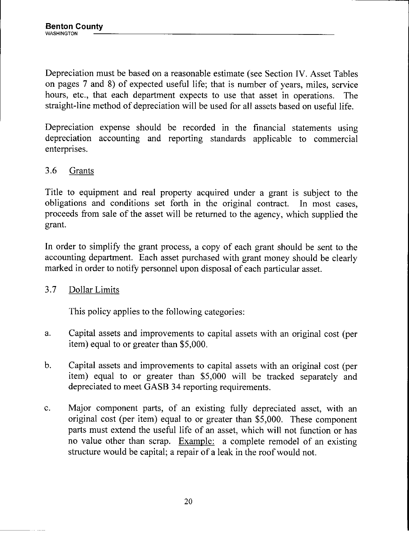**Depreciation must be based on a reasonable estimate (see Section IV. Asset Tables on pages <sup>7</sup> and 8) of expected useful life;that is number of years, miles, service hours, etc., that each department expects to use that asset in operations. The straight-linemethod of depreciation will be used for allassets based on useful life.**

**Depreciation expense should be recorded in the financial statements using depreciation accounting and reporting standards applicable to commercial** enterprises.

# **3.6 Grants**

**Title to equipment and real property acquired under <sup>a</sup> grant is subject to the obligations and conditions set forth in the original contract. In most cases, proceeds from sale of the asset will be returned to the agency, which supplied the grant.**

**In order to simplify the grant process, <sup>a</sup> copy of each grant should be sent to the accounting department. Each asset purchased with grant money should be clearly marked in order to notify personnel upon disposal of each particular asset.**

# **3.7 Dollar Limits**

**This policy applies to the following categories:**

- **a. Capital assets and improvements to capital assets with an original cost (per item) equal to or greater than \$5,000.**
- **b. Capital assets and improvements to capital assets with an original cost (per item) equal to or greater than \$5,000 will be tracked separately and depreciated to meet GASB 34 reporting requirements.**
- **c. Major component parts, of an existing fully depreciated asset, with an original cost (per item) equal to or greater than \$5,000. These component parts must extend the useful life of an asset, which will not function or has no value other than scrap. Example: <sup>a</sup> complete remodel of an existing structure would be capital; a repair of a leak in the roof would not.**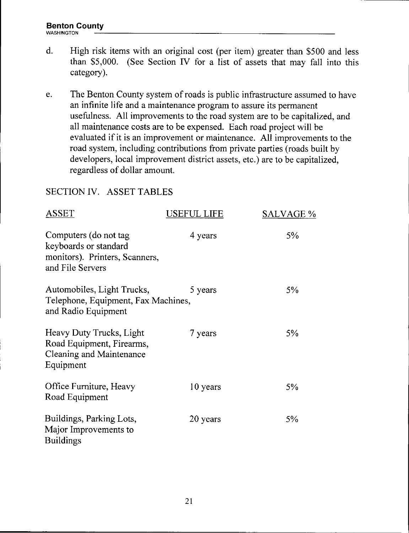- **d. High risk items with an original cost (per item) greater than \$500 and less than \$5,000. (See Section IV for a list of assets that may fall into this category).**
- **e. The Benton County system of roads is public infrastructure assumed to have an infinitelifeand a maintenance program to assure itspermanent usefulness. All improvements to the road system are to be capitalized, and allmaintenance costs are to be expensed. Each road project will be evaluated ifitis an improvement or maintenance. All improvements to the road system, including contributions from private parties (roads built by developers, local improvement districtassets, etc.)are to be capitalized, regardless of dollar amount.**

# **SECTION IV. ASSET TABLES**

| <b>ASSET</b>                                                                                         | USEFUL LIFE | <b>SALVAGE %</b> |
|------------------------------------------------------------------------------------------------------|-------------|------------------|
| Computers (do not tag<br>keyboards or standard<br>monitors). Printers, Scanners,<br>and File Servers | 4 years     | 5%               |
| Automobiles, Light Trucks,<br>Telephone, Equipment, Fax Machines,<br>and Radio Equipment             | 5 years     | 5%               |
| Heavy Duty Trucks, Light<br>Road Equipment, Firearms,<br>Cleaning and Maintenance<br>Equipment       | 7 years     | 5%               |
| Office Furniture, Heavy<br>Road Equipment                                                            | 10 years    | 5%               |
| Buildings, Parking Lots,<br>Major Improvements to<br><b>Buildings</b>                                | 20 years    | 5%               |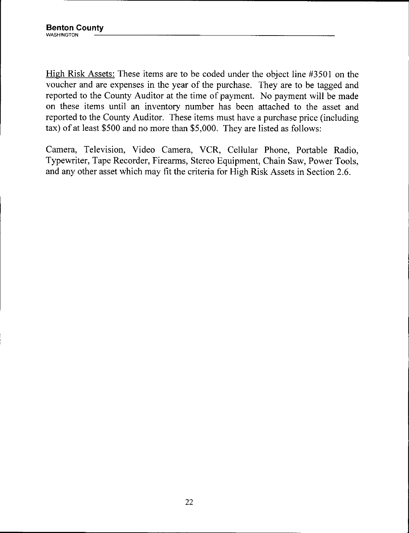**High Risk Assets: These items are to be coded under the object line #3501 on the voucher and are expenses in the year of the purchase. They are to be tagged and reported to the County Auditor at the time of payment. No payment will be made on these items until an inventory number has been attached to the asset and reported to the County Auditor. These items must have <sup>a</sup> purchase price (including tax) of at least \$500 and no more than \$5,000. They are listedas follows:**

**Camera, Television, Video Camera, VCR, Cellular Phone, Portable Radio, Typewriter, Tape Recorder, Firearms, Stereo Equipment, Chain Saw, Power Tools, and any other asset which may fitthe criteriafor High Risk Assets in Section 2.6.**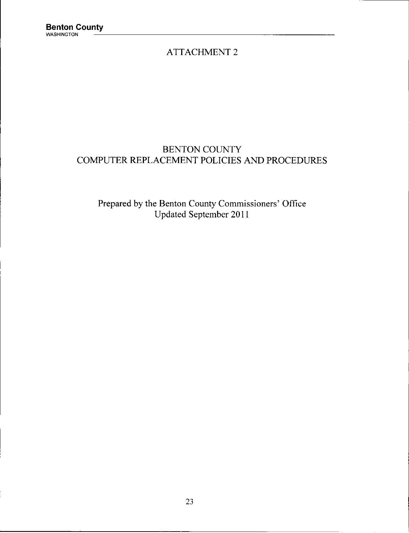# **ATTACHMENT 2**

# **BENTON COUNTY COMPUTER REPLACEMENT POLICIES AND PROCEDURES**

# **Prepared by the Benton County Commissioners' Office Updated September 2011**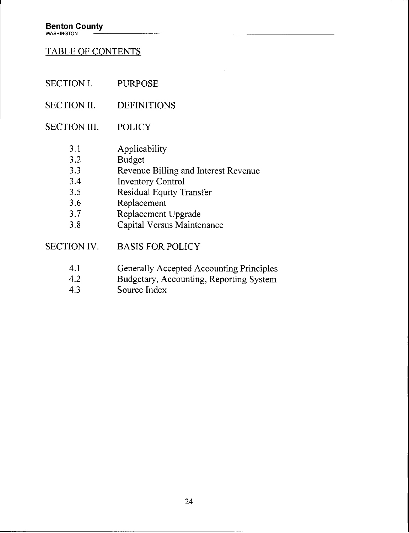# **TABLE OF CONTENTS**

| <b>PURPOSE</b>                           |
|------------------------------------------|
| <b>DEFINITIONS</b>                       |
| POLICY                                   |
| Applicability                            |
| <b>Budget</b>                            |
| Revenue Billing and Interest Revenue     |
| <b>Inventory Control</b>                 |
| <b>Residual Equity Transfer</b>          |
| Replacement                              |
| Replacement Upgrade                      |
| Capital Versus Maintenance               |
| SECTION IV.<br><b>BASIS FOR POLICY</b>   |
| Generally Accepted Accounting Principles |
| Budgetary, Accounting, Reporting System  |
| Source Index                             |
|                                          |

 $\hat{\mathcal{A}}$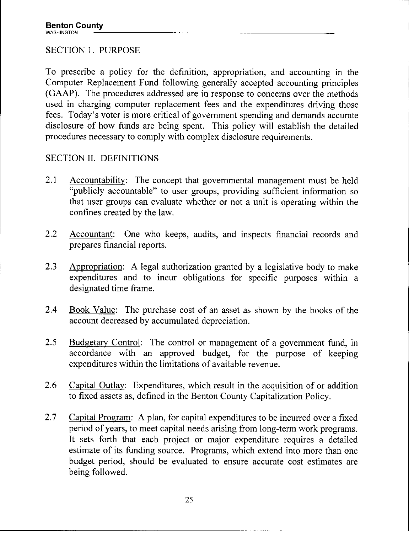# **SECTION 1. PURPOSE**

**To prescribe a policy for the definition, appropriation, and accounting in the Computer Replacement Fund following generally accepted accounting principles (GAAP). The procedures addressed are in response to concerns over the methods used in charging computer replacement fees and the expenditures driving those fees. Today's voter is more criticalof government spending and demands accurate disclosure of how funds are being spent. This policy will establish the detailed procedures necessary to comply with complex disclosure requirements.**

#### **SECTION II. DEFINITIONS**

- **2.1 Accountability: The concept that governmental management must be held "publicly accountable" to user groups, providing sufficient information so that user groups can evaluate whether or not a unit is operating within the confines created by the law.**
- **2.2 Accountant: One who keeps, audits, and inspects financial records and prepares financial reports.**
- **2.3 Appropriation: A legal authorization granted by a legislative body to make expenditures and to incur obligations for specific purposes within a designated time frame.**
- **2.4 Book Value: The purchase cost of an asset as shown by the books of the account decreased by accumulated depreciation.**
- **2.5 Budgetary Control: The control or management of <sup>a</sup> government fund, in accordance with an approved budget, for the purpose of keeping expenditures within the limitations of available revenue.**
- **2.6 Capital Outlay: Expenditures, which result in the acquisition of or addition to fixed assets as, defined in the Benton County Capitalization Policy.**
- **2.7 Capital Program: A plan, for capital expenditures to be incurred over a fixed period of years, to meet capital needs arising from long-term work programs. It sets forth that each project or major expenditure requires <sup>a</sup> detailed estimate of its funding source. Programs, which extend into more than one budget period, should be evaluated to ensure accurate cost estimates are being followed.**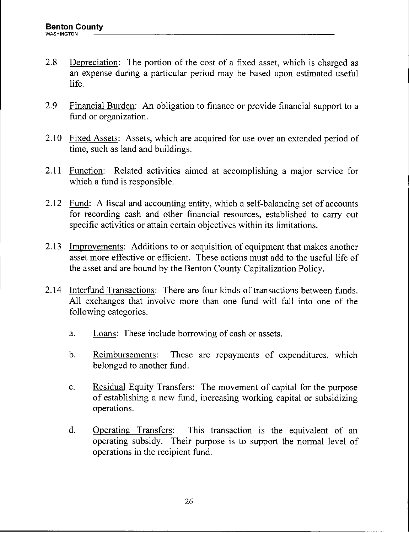- **2.8 Depreciation: The portion of the cost of a fixed asset, which is charged as an expense during a particular period may be based upon estimated useful life.**
- **2.9 Financial Burden: An obligation to finance or provide financial support to a fund or organization.**
- **2.10 Fixed Assets: Assets, which are acquired for use over an extended period of time, such as land and buildings.**
- **2.11 Function: Related activities aimed at accomplishing a major service for which a fund is responsible.**
- **2.12 Fund: A fiscal and accountin enti , which a self-balancin set of accounts for recording cash and other financial resources, established to carry out specific activitiesor attain certain objectives within itslimitations.**
- **2.13 Improvements: Additions to or acquisition of equipment that makes another asset more effective or efficient. These actions must add to the useful lifeof the asset and are bound by the Benton County Capitalization Policy.**
- **2.14 Interfund Transactions: There are four kinds of transactions between funds. All exchanges that involve more than one fund will fall into one of the following categories.**
	- **a. Loans: These include borrowi of cash or assets.**
	- **b. Reimbursements: These are repayments of expenditures, which belonged to another fund.**
	- **c. Residual Equity Transfers: The movement of capital for the purpose of establishing <sup>a</sup> new fund, increasing working capital or subsidizing operations.**
	- **d. Operating Transfers: This transaction is the equivalent of an operating subsidy. Their purpose is to support the normal level of operations in the recipient fund.**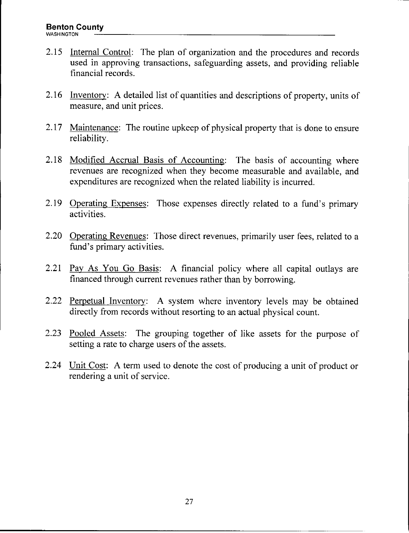- **2.15 Internal Control: The plan of organization and the procedures and records used in approving transactions, safeguarding assets, and providing reliable financial records.**
- **2.16 Inventory: <sup>A</sup> detailed listof quantities and descriptions of property, units of measure, and unit prices.**
- **2.17 Maintenance: The routine upkeep of physical property that is done to ensure reliability.**
- **2.18 Modified Accrual Basis of Accounting: The basis of accounting where revenues are recognized when they become measurable and available, and expenditures are recognized when the related liabilityis incurred.**
- **2.19 Operating Expenses: Those expenses directly related to <sup>a</sup> fund's primary activities.**
- **2.20 Operating Revenues: Those direct revenues, primarily user fees, related to a fund's primary activities.**
- **2.21 Pay As You Go Basis: <sup>A</sup> financial policy where all capital outlays are financed through current revenues rather than by borrowing.**
- **2.22 Perpetual Inventory: <sup>A</sup> system where inventory levels may be obtained directly from records without resorting to an actual physical count.**
- **2.23 Pooled Assets: The grouping together of like assets for the purpose of setting a rate to charge users of the assets.**
- **2.24 Unit Cost: <sup>A</sup> term used to denote the cost of producing <sup>a</sup> unit of product or rendering a unit of service.**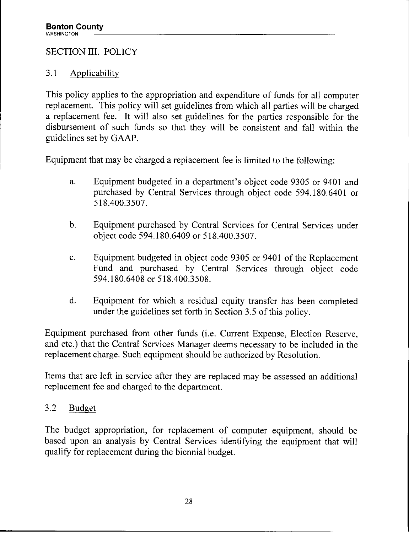# **SECTION III. POLICY**

# **3.1 Applicability**

**This policy applies to the appropriation and expenditure of funds for all computer replacement. This policy will set guidelines from which allparties will be charged <sup>a</sup> replacement fee. It will also set guidelines for the parties responsible for the disbursement of such funds so that they will be consistent and fall within the guidelines set by GAAP.**

**Equipment that may be charged <sup>a</sup> replacement fee is limited to the following:**

- **a. Equipment budgeted in a department's object code 9305 or 9401 and purchased by Central Services through object code 594.180.6401 or 518.400.3507.**
- **b. Equipment purchased by Central Services for Central Services under object code 594.180.6409 or 518.400.3507.**
- **c. Equipment budgeted in object code <sup>9305</sup> or <sup>9401</sup> of the Replacement Fund and purchased by Central Services through object code 594.180.6408 or 518.400.3508.**
- **d. Equipment for which <sup>a</sup> residual equity transfer has been completed under the guidelines set forth in Section 3.5 of this policy.**

**Equipment purchased from other funds (i.e.Current Expense, Election Reserve, and etc.) that the Central Services Manager deems necessary to be included in the replacement charge. Such equipment should be authorized by Resolution.**

**Items that are left in service after they are replaced may be assessed an additional replacement fee and charged to the department.**

# **3.2 Budget**

**The budget appropriation, for replacement of computer equipment, should be based upon an analysis by Central Services identifying the equipment that will qualify for replacement during the biennial budget.**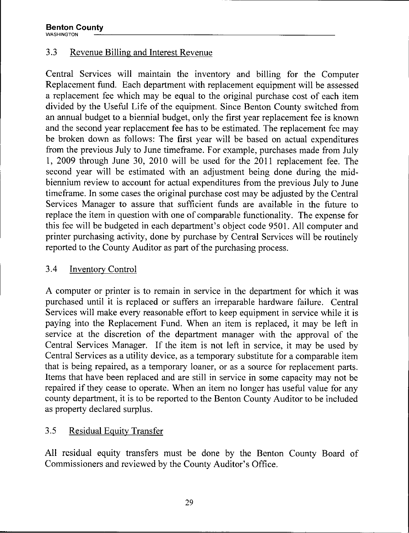#### **3.3 Revenue Billing and Interest Revenue**

**Central Services will maintain the inventory and billing for the Computer Replacement fund. Each department with replacement equipment will be assessed <sup>a</sup> replacement fee which may be equal to the original purchase cost of each item divided by the Useful Life of the equipment. Since Benton County switched from an annual budget to <sup>a</sup> biennial budget, only the firstyear replacement fee is known and the second year replacement fee has to be estimated. The replacement fee may be broken down as follows: The firstyear will be based on actual expenditures from the previous July to June timeframe. For example, purchases made from July 1, <sup>2009</sup> through June 30, <sup>2010</sup> will be used for the <sup>2011</sup> replacement fee. The second year will be estimated with an adjustment being done during the midbiennium review to account for actual expenditures from the previous July to June timeframe. In some cases the original purchase cost may be adjusted by the Central Services Manager to assure that sufficient funds are available in the future to replace the item in question with one of comparable functionality. The expense for this fee will be budgeted in each department's object code 9501. All computer and printer** purchasing activity, done by purchase by Central Services will be routinely **reported to the County Auditor as part of the purchasing process.**

#### **3.4 Inventory Control**

**<sup>A</sup> computer or printer is to remain in service in the department for which it was purchased until it is replaced or suffers an irreparable hardware failure. Central Services will make every reasonable effort to keep equipment in service while itis paying into the Replacement Fund. When an item is replaced, it may be left in service at the discretion of the department manager with the approval of the Central Services Manager. If the item is not left in service, it may be used by Central Services as a utilitydevice, as a temporary substitute for a comparable item that is being repaired, as <sup>a</sup> temporary loaner, or as <sup>a</sup> source for replacement parts. Items that have been replaced and are stillin service in some capacity may not be repaired if they cease to operate. When an item no longer has useful value for any county department, itis to be reported to the Benton County Auditor to be included as property declared surplus.**

# **3.5 Residual Equity Transfer**

**All residual equity transfers must be done by the Benton County Board of Commissioners and reviewed by the County Auditor's Office.**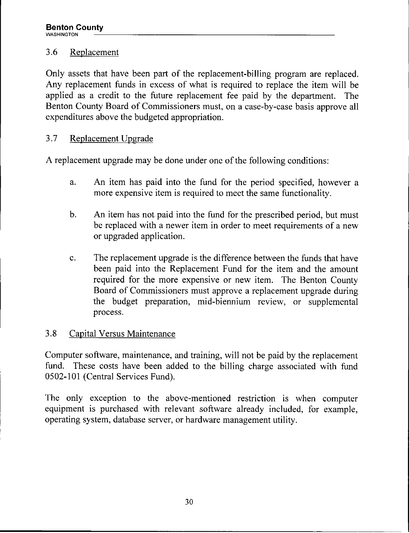#### **3.6 Replacement**

**Only assets that have been part of the replacement-billing program are replaced. Any replacement funds in excess of what is required to replace the item will be applied as a credit to the future replacement fee paid by the department. The Benton County Board of Commissioners must, on <sup>a</sup> case-by-case basis approve all expenditures above the budgeted appropriation.**

#### **3.7 Replacement Upgrade**

**<sup>A</sup> replacement upgrade may be done under one of the following conditions:**

- **a. An item has paid into the fund for the period specified, however a more expensive item is required to meet the same functionality.**
- **b. An item has not paid into the fund for the prescribed period, but must be replaced with a newer item in order to meet requirements of a new or upgraded application.**
- **c. The replacement upgrade is the difference between the funds that have been paid into the Replacement Fund for the item and the amount required for the more expensive or new item. The Benton County Board of Commissioners must approve a replacement upgrade during the budget preparation, mid-biennium review, or supplemental process.**

# **3.8 Capital Versus Maintenance**

**Computer software, maintenance, and training, will not be paid by the replacement fund. These costs have been added to the billing charge associated with fund 0502-101 (Central Services Fund).**

**The only exception to the above-mentioned restriction is when computer equipment is purchased with relevant software already included, for example, operating system, database server, or hardware management utility.**